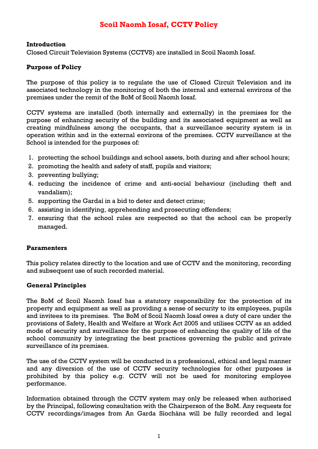## **Scoil Naomh Iosaf, CCTV Policy**

#### **Introduction**

Closed Circuit Television Systems (CCTVS) are installed in Scoil Naomh Iosaf.

## **Purpose of Policy**

The purpose of this policy is to regulate the use of Closed Circuit Television and its associated technology in the monitoring of both the internal and external environs of the premises under the remit of the BoM of Scoil Naomh Iosaf.

CCTV systems are installed (both internally and externally) in the premises for the purpose of enhancing security of the building and its associated equipment as well as creating mindfulness among the occupants, that a surveillance security system is in operation within and in the external environs of the premises. CCTV surveillance at the School is intended for the purposes of:

- 1. protecting the school buildings and school assets, both during and after school hours;
- 2. promoting the health and safety of staff, pupils and visitors;
- 3. preventing bullying;
- 4. reducing the incidence of crime and anti-social behaviour (including theft and vandalism);
- 5. supporting the Gardaí in a bid to deter and detect crime;
- 6. assisting in identifying, apprehending and prosecuting offenders;
- 7. ensuring that the school rules are respected so that the school can be properly managed.

## **Paramenters**

This policy relates directly to the location and use of CCTV and the monitoring, recording and subsequent use of such recorded material.

## **General Principles**

The BoM of Scoil Naomh Iosaf has a statutory responsibility for the protection of its property and equipment as well as providing a sense of security to its employees, pupils and invitees to its premises. The BoM of Scoil Naomh Iosaf owes a duty of care under the provisions of Safety, Health and Welfare at Work Act 2005 and utilises CCTV as an added mode of security and surveillance for the purpose of enhancing the quality of life of the school community by integrating the best practices governing the public and private surveillance of its premises.

The use of the CCTV system will be conducted in a professional, ethical and legal manner and any diversion of the use of CCTV security technologies for other purposes is prohibited by this policy e.g. CCTV will not be used for monitoring employee performance.

Information obtained through the CCTV system may only be released when authorised by the Principal, following consultation with the Chairperson of the BoM. Any requests for CCTV recordings/images from An Garda Síochána will be fully recorded and legal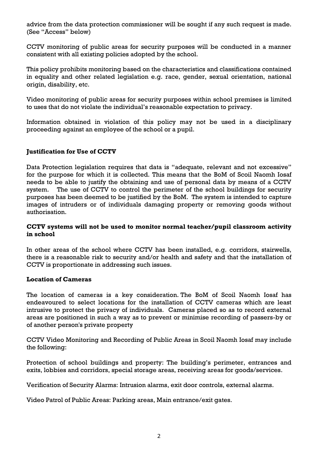advice from the data protection commissioner will be sought if any such request is made. (See "Access" below)

CCTV monitoring of public areas for security purposes will be conducted in a manner consistent with all existing policies adopted by the school.

This policy prohibits monitoring based on the characteristics and classifications contained in equality and other related legislation e.g. race, gender, sexual orientation, national origin, disability, etc.

Video monitoring of public areas for security purposes within school premises is limited to uses that do not violate the individual's reasonable expectation to privacy.

Information obtained in violation of this policy may not be used in a disciplinary proceeding against an employee of the school or a pupil.

## **Justification for Use of CCTV**

Data Protection legislation requires that data is "adequate, relevant and not excessive" for the purpose for which it is collected. This means that the BoM of Scoil Naomh Iosaf needs to be able to justify the obtaining and use of personal data by means of a CCTV system. The use of CCTV to control the perimeter of the school buildings for security purposes has been deemed to be justified by the BoM. The system is intended to capture images of intruders or of individuals damaging property or removing goods without authorisation.

#### **CCTV systems will not be used to monitor normal teacher/pupil classroom activity in school**

In other areas of the school where CCTV has been installed, e.g. corridors, stairwells, there is a reasonable risk to security and/or health and safety and that the installation of CCTV is proportionate in addressing such issues.

## **Location of Cameras**

The location of cameras is a key consideration. The BoM of Scoil Naomh Iosaf has endeavoured to select locations for the installation of CCTV cameras which are least intrusive to protect the privacy of individuals. Cameras placed so as to record external areas are positioned in such a way as to prevent or minimise recording of passers-by or of another person's private property

CCTV Video Monitoring and Recording of Public Areas in Scoil Naomh Iosaf may include the following:

Protection of school buildings and property: The building's perimeter, entrances and exits, lobbies and corridors, special storage areas, receiving areas for goods/services.

Verification of Security Alarms: Intrusion alarms, exit door controls, external alarms.

Video Patrol of Public Areas: Parking areas, Main entrance/exit gates.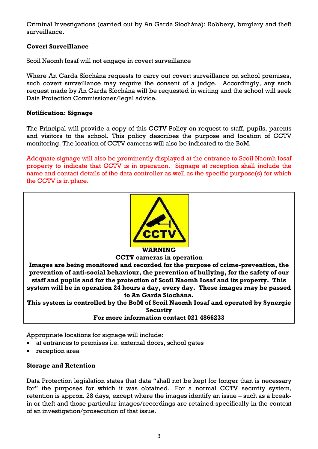Criminal Investigations (carried out by An Garda Síochána): Robbery, burglary and theft surveillance.

## **Covert Surveillance**

Scoil Naomh Iosaf will not engage in covert surveillance

Where An Garda Síochána requests to carry out covert surveillance on school premises, such covert surveillance may require the consent of a judge. Accordingly, any such request made by An Garda Síochána will be requested in writing and the school will seek Data Protection Commissioner/legal advice.

## **Notification: Signage**

The Principal will provide a copy of this CCTV Policy on request to staff, pupils, parents and visitors to the school. This policy describes the purpose and location of CCTV monitoring. The location of CCTV cameras will also be indicated to the BoM.

Adequate signage will also be prominently displayed at the entrance to Scoil Naomh Iosaf property to indicate that CCTV is in operation. Signage at reception shall include the name and contact details of the data controller as well as the specific purpose(s) for which the CCTV is in place.



#### **WARNING**

#### **CCTV cameras in operation**

**Images are being monitored and recorded for the purpose of crime-prevention, the prevention of anti-social behaviour, the prevention of bullying, for the safety of our staff and pupils and for the protection of Scoil Naomh Iosaf and its property. This system will be in operation 24 hours a day, every day. These images may be passed to An Garda Síochána.** 

**This system is controlled by the BoM of Scoil Naomh Iosaf and operated by Synergie Security**

#### **For more information contact 021 4866233**

Appropriate locations for signage will include:

- at entrances to premises i.e. external doors, school gates
- reception area

## **Storage and Retention**

Data Protection legislation states that data "shall not be kept for longer than is necessary for" the purposes for which it was obtained. For a normal CCTV security system, retention is approx. 28 days, except where the images identify an issue – such as a breakin or theft and those particular images/recordings are retained specifically in the context of an investigation/prosecution of that issue.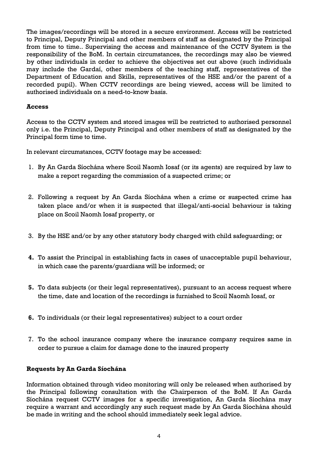The images/recordings will be stored in a secure environment. Access will be restricted to Principal, Deputy Principal and other members of staff as designated by the Principal from time to time.. Supervising the access and maintenance of the CCTV System is the responsibility of the BoM. In certain circumstances, the recordings may also be viewed by other individuals in order to achieve the objectives set out above (such individuals may include the Gardaí, other members of the teaching staff, representatives of the Department of Education and Skills, representatives of the HSE and/or the parent of a recorded pupil). When CCTV recordings are being viewed, access will be limited to authorised individuals on a need-to-know basis.

## **Access**

Access to the CCTV system and stored images will be restricted to authorised personnel only i.e. the Principal, Deputy Principal and other members of staff as designated by the Principal form time to time.

In relevant circumstances, CCTV footage may be accessed:

- 1. By An Garda Síochána where Scoil Naomh Iosaf (or its agents) are required by law to make a report regarding the commission of a suspected crime; or
- 2. Following a request by An Garda Síochána when a crime or suspected crime has taken place and/or when it is suspected that illegal/anti-social behaviour is taking place on Scoil Naomh Iosaf property, or
- 3. By the HSE and/or by any other statutory body charged with child safeguarding; or
- **4.** To assist the Principal in establishing facts in cases of unacceptable pupil behaviour, in which case the parents/guardians will be informed; or
- **5.** To data subjects (or their legal representatives), pursuant to an access request where the time, date and location of the recordings is furnished to Scoil Naomh Iosaf, or
- **6.** To individuals (or their legal representatives) subject to a court order
- 7. To the school insurance company where the insurance company requires same in order to pursue a claim for damage done to the insured property

## **Requests by An Garda Síochána**

Information obtained through video monitoring will only be released when authorised by the Principal following consultation with the Chairperson of the BoM. If An Garda Síochána request CCTV images for a specific investigation, An Garda Síochána may require a warrant and accordingly any such request made by An Garda Síochána should be made in writing and the school should immediately seek legal advice.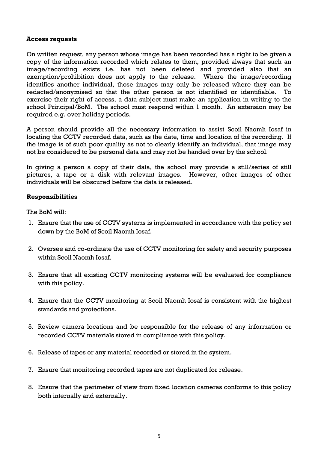#### **Access requests**

On written request, any person whose image has been recorded has a right to be given a copy of the information recorded which relates to them, provided always that such an image/recording exists i.e. has not been deleted and provided also that an exemption/prohibition does not apply to the release. Where the image/recording identifies another individual, those images may only be released where they can be redacted/anonymised so that the other person is not identified or identifiable. To exercise their right of access, a data subject must make an application in writing to the school Principal/BoM. The school must respond within 1 month. An extension may be required e.g. over holiday periods.

A person should provide all the necessary information to assist Scoil Naomh Iosaf in locating the CCTV recorded data, such as the date, time and location of the recording. If the image is of such poor quality as not to clearly identify an individual, that image may not be considered to be personal data and may not be handed over by the school.

In giving a person a copy of their data, the school may provide a still/series of still pictures, a tape or a disk with relevant images. However, other images of other individuals will be obscured before the data is released.

## **Responsibilities**

The BoM will:

- 1. Ensure that the use of CCTV systems is implemented in accordance with the policy set down by the BoM of Scoil Naomh Iosaf.
- 2. Oversee and co-ordinate the use of CCTV monitoring for safety and security purposes within Scoil Naomh Iosaf.
- 3. Ensure that all existing CCTV monitoring systems will be evaluated for compliance with this policy.
- 4. Ensure that the CCTV monitoring at Scoil Naomh Iosaf is consistent with the highest standards and protections.
- 5. Review camera locations and be responsible for the release of any information or recorded CCTV materials stored in compliance with this policy.
- 6. Release of tapes or any material recorded or stored in the system.
- 7. Ensure that monitoring recorded tapes are not duplicated for release.
- 8. Ensure that the perimeter of view from fixed location cameras conforms to this policy both internally and externally.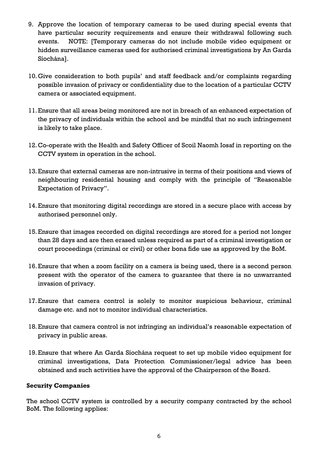- 9. Approve the location of temporary cameras to be used during special events that have particular security requirements and ensure their withdrawal following such events. NOTE: [Temporary cameras do not include mobile video equipment or hidden surveillance cameras used for authorised criminal investigations by An Garda Síochána].
- 10.Give consideration to both pupils' and staff feedback and/or complaints regarding possible invasion of privacy or confidentiality due to the location of a particular CCTV camera or associated equipment.
- 11.Ensure that all areas being monitored are not in breach of an enhanced expectation of the privacy of individuals within the school and be mindful that no such infringement is likely to take place.
- 12.Co-operate with the Health and Safety Officer of Scoil Naomh Iosaf in reporting on the CCTV system in operation in the school.
- 13.Ensure that external cameras are non-intrusive in terms of their positions and views of neighbouring residential housing and comply with the principle of "Reasonable Expectation of Privacy".
- 14.Ensure that monitoring digital recordings are stored in a secure place with access by authorised personnel only.
- 15.Ensure that images recorded on digital recordings are stored for a period not longer than 28 days and are then erased unless required as part of a criminal investigation or court proceedings (criminal or civil) or other bona fide use as approved by the BoM.
- 16.Ensure that when a zoom facility on a camera is being used, there is a second person present with the operator of the camera to guarantee that there is no unwarranted invasion of privacy.
- 17.Ensure that camera control is solely to monitor suspicious behaviour, criminal damage etc. and not to monitor individual characteristics.
- 18.Ensure that camera control is not infringing an individual's reasonable expectation of privacy in public areas.
- 19.Ensure that where An Garda Síochána request to set up mobile video equipment for criminal investigations, Data Protection Commissioner/legal advice has been obtained and such activities have the approval of the Chairperson of the Board.

## **Security Companies**

The school CCTV system is controlled by a security company contracted by the school BoM. The following applies: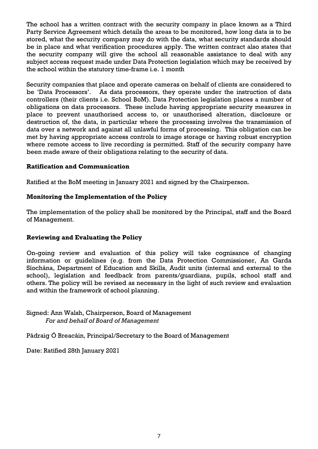The school has a written contract with the security company in place known as a Third Party Service Agreement which details the areas to be monitored, how long data is to be stored, what the security company may do with the data, what security standards should be in place and what verification procedures apply. The written contract also states that the security company will give the school all reasonable assistance to deal with any subject access request made under Data Protection legislation which may be received by the school within the statutory time-frame i.e. 1 month

Security companies that place and operate cameras on behalf of clients are considered to be 'Data Processors'. As data processors, they operate under the instruction of data controllers (their clients i.e. School BoM). Data Protection legislation places a number of obligations on data processors. These include having appropriate security measures in place to prevent unauthorised access to, or unauthorised alteration, disclosure or destruction of, the data, in particular where the processing involves the transmission of data over a network and against all unlawful forms of processing. This obligation can be met by having appropriate access controls to image storage or having robust encryption where remote access to live recording is permitted. Staff of the security company have been made aware of their obligations relating to the security of data.

## **Ratification and Communication**

Ratified at the BoM meeting in January 2021 and signed by the Chairperson.

#### **Monitoring the Implementation of the Policy**

The implementation of the policy shall be monitored by the Principal, staff and the Board of Management.

## **Reviewing and Evaluating the Policy**

On-going review and evaluation of this policy will take cognisance of changing information or guidelines (e.g. from the Data Protection Commissioner, An Garda Síochána, Department of Education and Skills, Audit units (internal and external to the school), legislation and feedback from parents/guardians, pupils, school staff and others. The policy will be revised as necessary in the light of such review and evaluation and within the framework of school planning.

Signed: Ann Walsh, Chairperson, Board of Management *For and behalf of Board of Management*

Pádraig Ó Breacáin, Principal/Secretary to the Board of Management

Date: Ratified 28th January 2021